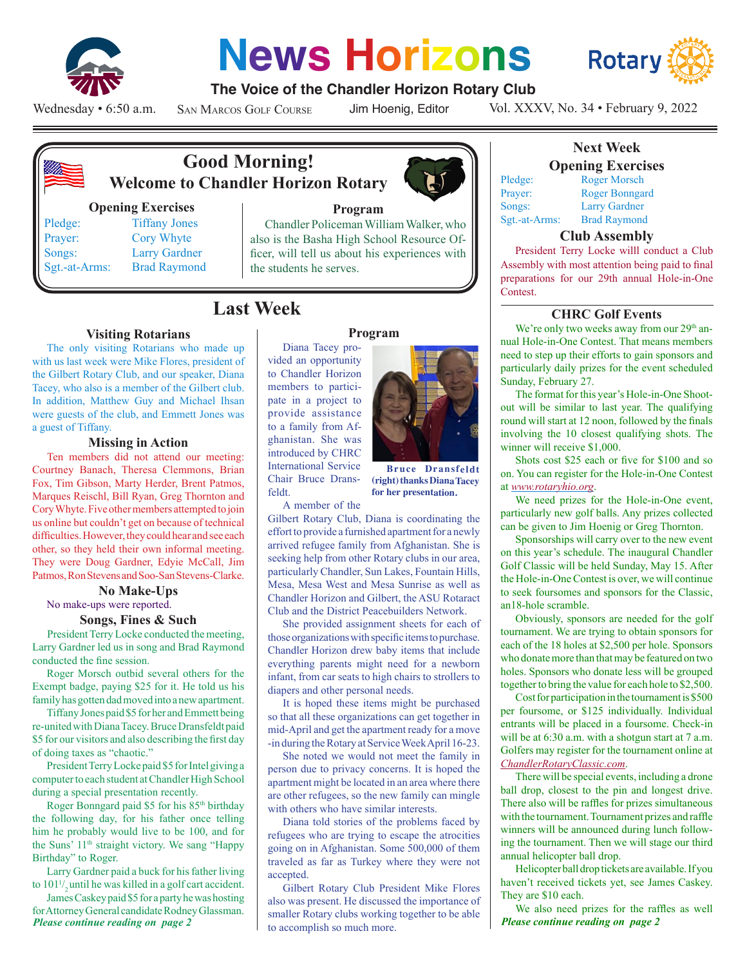

# **News Horizons**



### **The Voice of the Chandler Horizon Rotary Club**

Wednesday • 6:50 a.m.

San Marcos Golf Course

Jim Hoenig, Editor

Vol. XXXV, No. 34 • February 9, 2022



# **Good Morning! Welcome to Chandler Horizon Rotary**

#### **Opening Exercises**

Sgt.-at-Arms: Brad Raymond

### Pledge: Tiffany Jones Prayer: Cory Whyte Songs: Larry Gardner

# **Program**

Chandler Policeman William Walker, who also is the Basha High School Resource Officer, will tell us about his experiences with the students he serves.

# **Last Week CHRC Golf Events**

#### **Visiting Rotarians**

The only visiting Rotarians who made up with us last week were Mike Flores, president of the Gilbert Rotary Club, and our speaker, Diana Tacey, who also is a member of the Gilbert club. In addition, Matthew Guy and Michael Ihsan were guests of the club, and Emmett Jones was a guest of Tiffany.

#### **Missing in Action**

Ten members did not attend our meeting: Courtney Banach, Theresa Clemmons, Brian Fox, Tim Gibson, Marty Herder, Brent Patmos, Marques Reischl, Bill Ryan, Greg Thornton and Cory Whyte. Five other members attempted to join us online but couldn't get on because of technical difficulties. However, they could hear and see each other, so they held their own informal meeting. They were Doug Gardner, Edyie McCall, Jim Patmos, Ron Stevens and Soo-San Stevens-Clarke.

#### **No Make-Ups** No make-ups were reported.

# **Songs, Fines & Such**

President Terry Locke conducted the meeting, Larry Gardner led us in song and Brad Raymond conducted the fine session.

Roger Morsch outbid several others for the Exempt badge, paying \$25 for it. He told us his family has gotten dad moved into a new apartment.

Tiffany Jones paid \$5 for her and Emmett being re-united with Diana Tacey. Bruce Dransfeldt paid \$5 for our visitors and also describing the first day of doing taxes as "chaotic."

President Terry Locke paid \$5 for Intel giving a computer to each student at Chandler High School during a special presentation recently.

Roger Bonngard paid \$5 for his 85<sup>th</sup> birthday the following day, for his father once telling him he probably would live to be 100, and for the Suns' 11<sup>th</sup> straight victory. We sang "Happy Birthday" to Roger.

Larry Gardner paid a buck for his father living to 1011 / <sup>2</sup> until he was killed in a golf cart accident.

*Please continue reading on page 2* James Caskey paid \$5 for a party he was hosting for Attorney General candidate Rodney Glassman.

#### **Program**

Diana Tacey provided an opportunity to Chandler Horizon members to participate in a project to provide assistance to a family from Afghanistan. She was introduced by CHRC International Service Chair Bruce Dransfeldt.



**Bruce Dransfeldt (right) thanks Diana Tacey for her presentation.** 

A member of the

Gilbert Rotary Club, Diana is coordinating the effort to provide a furnished apartment for a newly arrived refugee family from Afghanistan. She is seeking help from other Rotary clubs in our area, particularly Chandler, Sun Lakes, Fountain Hills, Mesa, Mesa West and Mesa Sunrise as well as Chandler Horizon and Gilbert, the ASU Rotaract Club and the District Peacebuilders Network.

She provided assignment sheets for each of those organizations with specific items to purchase. Chandler Horizon drew baby items that include everything parents might need for a newborn infant, from car seats to high chairs to strollers to diapers and other personal needs.

It is hoped these items might be purchased so that all these organizations can get together in mid-April and get the apartment ready for a move -in during the Rotary at Service Week April 16-23.

She noted we would not meet the family in person due to privacy concerns. It is hoped the apartment might be located in an area where there are other refugees, so the new family can mingle with others who have similar interests.

Diana told stories of the problems faced by refugees who are trying to escape the atrocities going on in Afghanistan. Some 500,000 of them traveled as far as Turkey where they were not accepted.

Gilbert Rotary Club President Mike Flores also was present. He discussed the importance of smaller Rotary clubs working together to be able to accomplish so much more.

# **Next Week**

**Opening Exercises** Pledge: Roger Morsch

Prayer: Roger Bonngard Songs: Larry Gardner<br>Sgt.-at-Arms: Brad Raymond

#### Brad Raymond **Club Assembly**

President Terry Locke willl conduct a Club Assembly with most attention being paid to final preparations for our 29th annual Hole-in-One Contest.

We're only two weeks away from our 29<sup>th</sup> annual Hole-in-One Contest. That means members need to step up their efforts to gain sponsors and particularly daily prizes for the event scheduled Sunday, February 27.

The format for this year's Hole-in-One Shootout will be similar to last year. The qualifying round will start at 12 noon, followed by the finals involving the 10 closest qualifying shots. The winner will receive \$1,000.

Shots cost \$25 each or five for \$100 and so on. You can register for the Hole-in-One Contest at *www.rotaryhio.org*.

We need prizes for the Hole-in-One event, particularly new golf balls. Any prizes collected can be given to Jim Hoenig or Greg Thornton.

Sponsorships will carry over to the new event on this year's schedule. The inaugural Chandler Golf Classic will be held Sunday, May 15. After the Hole-in-One Contest is over, we will continue to seek foursomes and sponsors for the Classic, an18-hole scramble.

Obviously, sponsors are needed for the golf tournament. We are trying to obtain sponsors for each of the 18 holes at \$2,500 per hole. Sponsors who donate more than that may be featured on two holes. Sponsors who donate less will be grouped together to bring the value for each hole to \$2,500.

Cost for participation in the tournament is \$500 per foursome, or \$125 individually. Individual entrants will be placed in a foursome. Check-in will be at 6:30 a.m. with a shotgun start at 7 a.m. Golfers may register for the tournament online at *ChandlerRotaryClassic.com*.

There will be special events, including a drone ball drop, closest to the pin and longest drive. There also will be raffles for prizes simultaneous with the tournament. Tournament prizes and raffle winners will be announced during lunch following the tournament. Then we will stage our third annual helicopter ball drop.

Helicopter ball drop tickets are available. If you haven't received tickets yet, see James Caskey. They are \$10 each.

*Please continue reading on page 2* We also need prizes for the raffles as well